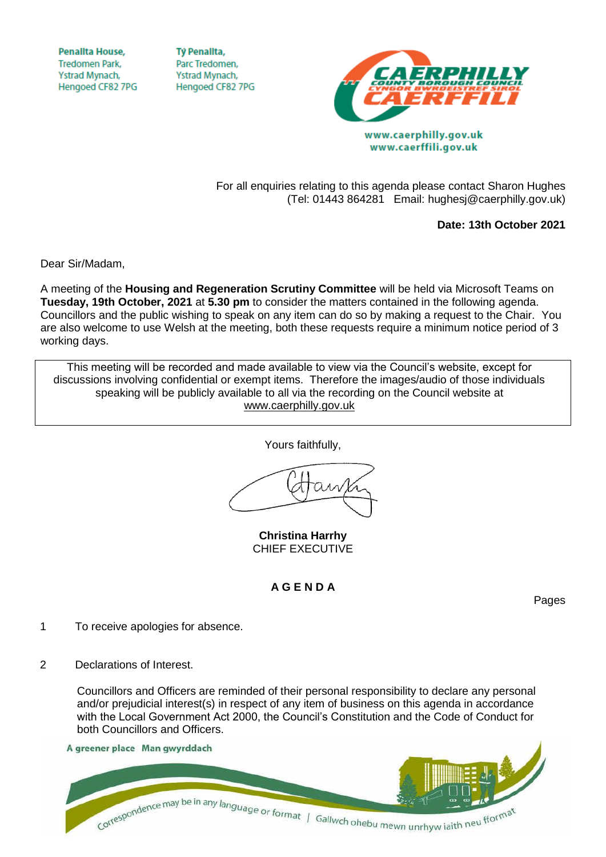**Penallta House, Tredomen Park.** Ystrad Mynach, Hengoed CF82 7PG

**TV Penallta,** Parc Tredomen. Ystrad Mynach, Hengoed CF82 7PG



(Tel: 01443 864281 Email: hughesj@caerphilly.gov.uk)

www.caerffili.gov.uk

For all enquiries relating to this agenda please contact Sharon Hughes

**Date: 13th October 2021**

Dear Sir/Madam,

A meeting of the **Housing and Regeneration Scrutiny Committee** will be held via Microsoft Teams on **Tuesday, 19th October, 2021** at **5.30 pm** to consider the matters contained in the following agenda. Councillors and the public wishing to speak on any item can do so by making a request to the Chair. You are also welcome to use Welsh at the meeting, both these requests require a minimum notice period of 3 working days.

This meeting will be recorded and made available to view via the Council's website, except for discussions involving confidential or exempt items. Therefore the images/audio of those individuals speaking will be publicly available to all via the recording on the Council website at [www.caerphilly.gov.uk](http://www.caerphilly.gov.uk/)

Yours faithfully,

**Christina Harrhy** CHIEF EXECUTIVE

## **A G E N D A**

Pages

- 1 To receive apologies for absence.
- 2 Declarations of Interest.

Councillors and Officers are reminded of their personal responsibility to declare any personal and/or prejudicial interest(s) in respect of any item of business on this agenda in accordance with the Local Government Act 2000, the Council's Constitution and the Code of Conduct for both Councillors and Officers.